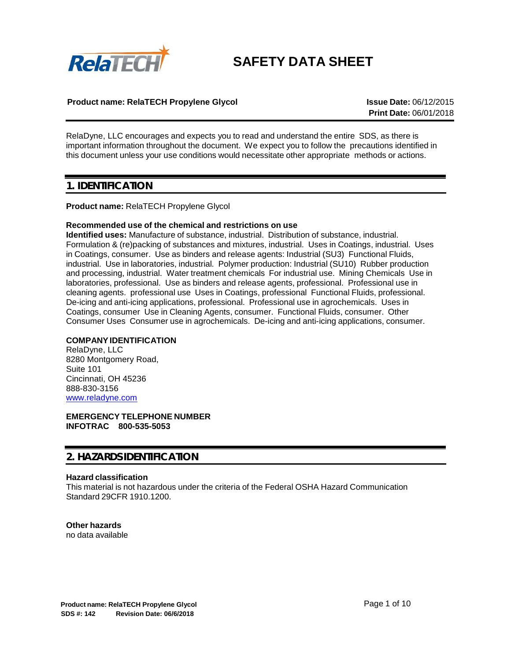

# **SAFETY DATA SHEET**

## **Product name: RelaTECH Propylene Glycol Issue Date:** 06/12/2015

**Print Date:** 06/01/2018

RelaDyne, LLC encourages and expects you to read and understand the entire SDS, as there is important information throughout the document. We expect you to follow the precautions identified in this document unless your use conditions would necessitate other appropriate methods or actions.

## **1. IDENTIFICATION**

## **Product name:** RelaTECH Propylene Glycol

## **Recommended use of the chemical and restrictions on use**

**Identified uses:** Manufacture of substance, industrial. Distribution of substance, industrial. Formulation & (re)packing of substances and mixtures, industrial. Uses in Coatings, industrial. Uses in Coatings, consumer. Use as binders and release agents: Industrial (SU3) Functional Fluids, industrial. Use in laboratories, industrial. Polymer production: Industrial (SU10) Rubber production and processing, industrial. Water treatment chemicals For industrial use. Mining Chemicals Use in laboratories, professional. Use as binders and release agents, professional. Professional use in cleaning agents. professional use Uses in Coatings, professional Functional Fluids, professional. De-icing and anti-icing applications, professional. Professional use in agrochemicals. Uses in Coatings, consumer Use in Cleaning Agents, consumer. Functional Fluids, consumer. Other Consumer Uses Consumer use in agrochemicals. De-icing and anti-icing applications, consumer.

## **COMPANYIDENTIFICATION**

RelaDyne, LLC 8280 Montgomery Road, Suite 101 Cincinnati, OH 45236 888-830-3156 [www.reladyne.com](http://www.reladyne.com/)

**EMERGENCY TELEPHONE NUMBER INFOTRAC 800-535-5053**

## **2. HAZARDS IDENTIFICATION**

## **Hazard classification**

This material is not hazardous under the criteria of the Federal OSHA Hazard Communication Standard 29CFR 1910.1200.

## **Other hazards**

no data available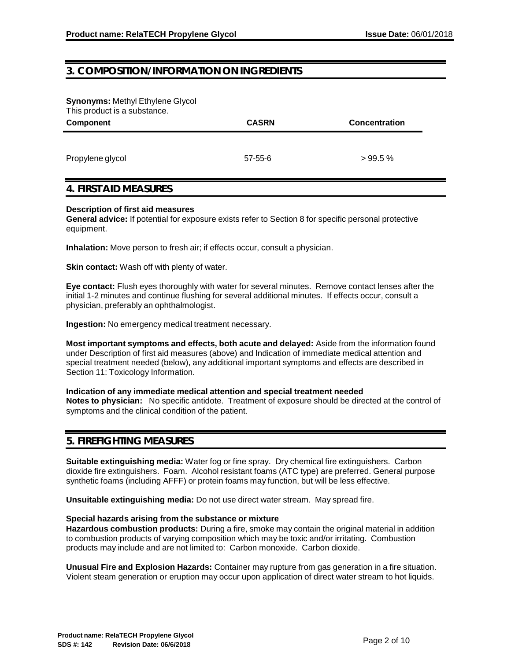## **3. COMPOSITION/INFORMATION ON INGREDIENTS**

**Synonyms:** Methyl Ethylene Glycol This product is a substance.

| THIS PROGRETS & SUDSTAINCE.<br>Component | <b>CASRN</b> | <b>Concentration</b> |
|------------------------------------------|--------------|----------------------|
| Propylene glycol                         | 57-55-6      | >99.5%               |

## **4. FIRST AID MEASURES**

#### **Description of first aid measures**

**General advice:** If potential for exposure exists refer to Section 8 for specific personal protective equipment.

**Inhalation:** Move person to fresh air; if effects occur, consult a physician.

**Skin contact:** Wash off with plenty of water.

**Eye contact:** Flush eyes thoroughly with water for several minutes. Remove contact lenses after the initial 1-2 minutes and continue flushing for several additional minutes. If effects occur, consult a physician, preferably an ophthalmologist.

**Ingestion:** No emergency medical treatment necessary.

**Most important symptoms and effects, both acute and delayed:** Aside from the information found under Description of first aid measures (above) and Indication of immediate medical attention and special treatment needed (below), any additional important symptoms and effects are described in Section 11: Toxicology Information.

## **Indication of any immediate medical attention and special treatment needed**

**Notes to physician:** No specific antidote. Treatment of exposure should be directed at the control of symptoms and the clinical condition of the patient.

## **5. FIREFIGHTING MEASURES**

**Suitable extinguishing media:** Water fog or fine spray. Dry chemical fire extinguishers. Carbon dioxide fire extinguishers. Foam. Alcohol resistant foams (ATC type) are preferred. General purpose synthetic foams (including AFFF) or protein foams may function, but will be less effective.

**Unsuitable extinguishing media:** Do not use direct water stream. May spread fire.

## **Special hazards arising from the substance or mixture**

**Hazardous combustion products:** During a fire, smoke may contain the original material in addition to combustion products of varying composition which may be toxic and/or irritating. Combustion products may include and are not limited to: Carbon monoxide. Carbon dioxide.

**Unusual Fire and Explosion Hazards:** Container may rupture from gas generation in a fire situation. Violent steam generation or eruption may occur upon application of direct water stream to hot liquids.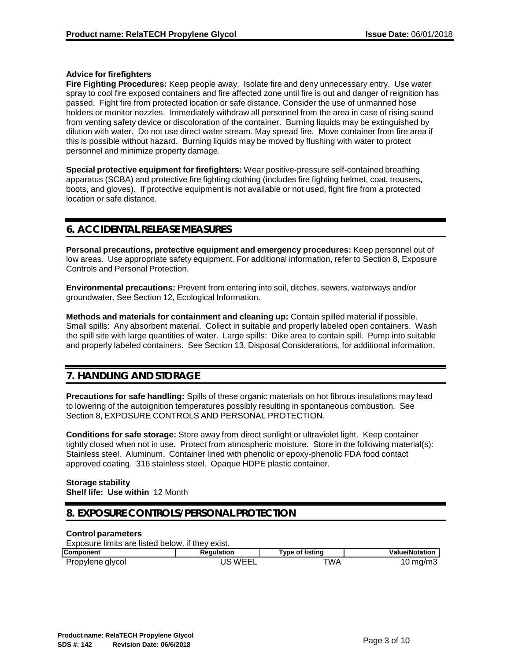## **Advice for firefighters**

**Fire Fighting Procedures:** Keep people away. Isolate fire and deny unnecessary entry. Use water spray to cool fire exposed containers and fire affected zone until fire is out and danger of reignition has passed. Fight fire from protected location or safe distance. Consider the use of unmanned hose holders or monitor nozzles. Immediately withdraw all personnel from the area in case of rising sound from venting safety device or discoloration of the container. Burning liquids may be extinguished by dilution with water. Do not use direct water stream. May spread fire. Move container from fire area if this is possible without hazard. Burning liquids may be moved by flushing with water to protect personnel and minimize property damage.

**Special protective equipment for firefighters:** Wear positive-pressure self-contained breathing apparatus (SCBA) and protective fire fighting clothing (includes fire fighting helmet, coat, trousers, boots, and gloves). If protective equipment is not available or not used, fight fire from a protected location or safe distance.

## **6. ACCIDENTAL RELEASE MEASURES**

**Personal precautions, protective equipment and emergency procedures:** Keep personnel out of low areas. Use appropriate safety equipment. For additional information, refer to Section 8, Exposure Controls and Personal Protection.

**Environmental precautions:** Prevent from entering into soil, ditches, sewers, waterways and/or groundwater. See Section 12, Ecological Information.

**Methods and materials for containment and cleaning up:** Contain spilled material if possible. Small spills: Any absorbent material. Collect in suitable and properly labeled open containers. Wash the spill site with large quantities of water. Large spills: Dike area to contain spill. Pump into suitable and properly labeled containers. See Section 13, Disposal Considerations, for additional information.

## **7. HANDLING AND STORAGE**

**Precautions for safe handling:** Spills of these organic materials on hot fibrous insulations may lead to lowering of the autoignition temperatures possibly resulting in spontaneous combustion. See Section 8, EXPOSURE CONTROLS AND PERSONAL PROTECTION.

**Conditions for safe storage:** Store away from direct sunlight or ultraviolet light. Keep container tightly closed when not in use. Protect from atmospheric moisture. Store in the following material(s): Stainless steel. Aluminum. Container lined with phenolic or epoxy-phenolic FDA food contact approved coating. 316 stainless steel. Opaque HDPE plastic container.

#### **Storage stability Shelf life: Use within** 12 Month

## **8. EXPOSURE CONTROLS/PERSONAL PROTECTION**

## **Control parameters**

Exposure limits are listed below, if they exist.

| <b>Component</b> | Reaulation | Type of listing | <b>Value/Notation</b> |
|------------------|------------|-----------------|-----------------------|
| Propylene glycol | `WEEL      | TWA             | 10 mg/m3              |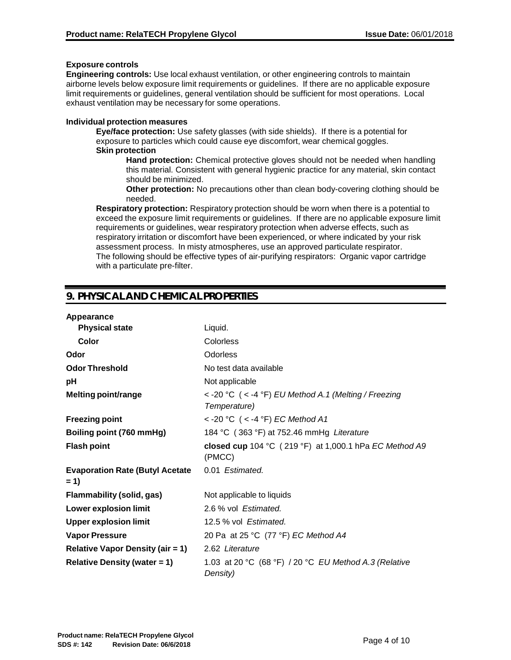## **Exposure controls**

**Engineering controls:** Use local exhaust ventilation, or other engineering controls to maintain airborne levels below exposure limit requirements or guidelines. If there are no applicable exposure limit requirements or guidelines, general ventilation should be sufficient for most operations. Local exhaust ventilation may be necessary for some operations.

## **Individual protection measures**

**Eye/face protection:** Use safety glasses (with side shields). If there is a potential for exposure to particles which could cause eye discomfort, wear chemical goggles. **Skin protection**

**Hand protection:** Chemical protective gloves should not be needed when handling this material. Consistent with general hygienic practice for any material, skin contact should be minimized.

**Other protection:** No precautions other than clean body-covering clothing should be needed.

**Respiratory protection:** Respiratory protection should be worn when there is a potential to exceed the exposure limit requirements or guidelines. If there are no applicable exposure limit requirements or guidelines, wear respiratory protection when adverse effects, such as respiratory irritation or discomfort have been experienced, or where indicated by your risk assessment process. In misty atmospheres, use an approved particulate respirator. The following should be effective types of air-purifying respirators: Organic vapor cartridge with a particulate pre-filter.

## **9. PHYSICAL AND CHEMICAL PROPERTIES**

| Appearance                                      |                                                                            |
|-------------------------------------------------|----------------------------------------------------------------------------|
| <b>Physical state</b>                           | Liquid.                                                                    |
| Color                                           | Colorless                                                                  |
| Odor                                            | Odorless                                                                   |
| <b>Odor Threshold</b>                           | No test data available                                                     |
| рH                                              | Not applicable                                                             |
| Melting point/range                             | < -20 °C $($ < -4 °F) EU Method A.1 (Melting / Freezing<br>Temperature)    |
| <b>Freezing point</b>                           | < -20 °C $($ < -4 °F) EC Method A1                                         |
| Boiling point (760 mmHg)                        | 184 °C (363 °F) at 752.46 mmHg Literature                                  |
| <b>Flash point</b>                              | closed cup 104 °C $(219 \text{ °F})$ at 1,000.1 hPa EC Method A9<br>(PMCC) |
| <b>Evaporation Rate (Butyl Acetate</b><br>$= 1$ | 0.01 Estimated.                                                            |
| Flammability (solid, gas)                       | Not applicable to liquids                                                  |
| <b>Lower explosion limit</b>                    | 2.6 % vol Estimated.                                                       |
| <b>Upper explosion limit</b>                    | 12.5 % vol Estimated.                                                      |
| <b>Vapor Pressure</b>                           | 20 Pa at 25 °C (77 °F) EC Method A4                                        |
| <b>Relative Vapor Density (air = 1)</b>         | 2.62 Literature                                                            |
| <b>Relative Density (water = 1)</b>             | 1.03 at 20 °C (68 °F) / 20 °C EU Method A.3 (Relative<br>Density)          |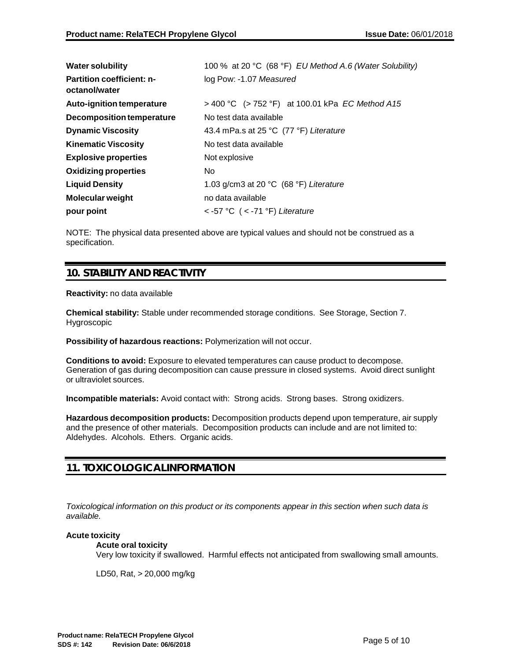| <b>Water solubility</b>                           | 100 % at 20 °C (68 °F) EU Method A.6 (Water Solubility) |
|---------------------------------------------------|---------------------------------------------------------|
| <b>Partition coefficient: n-</b><br>octanol/water | log Pow: -1.07 Measured                                 |
| Auto-ignition temperature                         | > 400 °C (> 752 °F) at 100.01 kPa <i>EC Method A15</i>  |
| Decomposition temperature                         | No test data available                                  |
| <b>Dynamic Viscosity</b>                          | 43.4 mPa.s at 25 °C (77 °F) Literature                  |
| <b>Kinematic Viscosity</b>                        | No test data available                                  |
| <b>Explosive properties</b>                       | Not explosive                                           |
| <b>Oxidizing properties</b>                       | No.                                                     |
| <b>Liquid Density</b>                             | 1.03 g/cm3 at 20 $°C$ (68 $°F$ ) Literature             |
| <b>Molecular weight</b>                           | no data available                                       |
| pour point                                        | $<$ -57 °C ( $<$ -71 °F) Literature                     |

NOTE: The physical data presented above are typical values and should not be construed as a specification.

## **10. STABILITY AND REACTIVITY**

## **Reactivity:** no data available

**Chemical stability:** Stable under recommended storage conditions. See Storage, Section 7. Hygroscopic

**Possibility of hazardous reactions:** Polymerization will not occur.

**Conditions to avoid:** Exposure to elevated temperatures can cause product to decompose. Generation of gas during decomposition can cause pressure in closed systems. Avoid direct sunlight or ultraviolet sources.

**Incompatible materials:** Avoid contact with: Strong acids. Strong bases. Strong oxidizers.

**Hazardous decomposition products:** Decomposition products depend upon temperature, air supply and the presence of other materials. Decomposition products can include and are not limited to: Aldehydes. Alcohols. Ethers. Organic acids.

## **11. TOXICOLOGICAL INFORMATION**

*Toxicological information on this product or its components appear in this section when such data is available.*

## **Acute toxicity**

## **Acute oral toxicity**

Very low toxicity if swallowed. Harmful effects not anticipated from swallowing small amounts.

LD50, Rat, > 20,000 mg/kg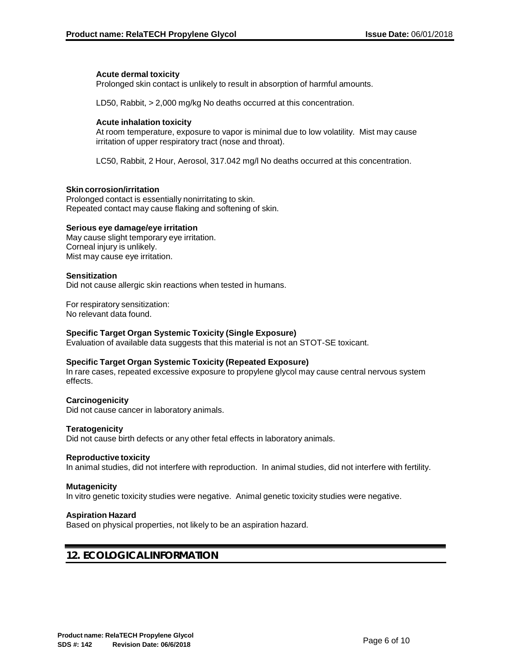## **Acute dermal toxicity**

Prolonged skin contact is unlikely to result in absorption of harmful amounts.

LD50, Rabbit, > 2,000 mg/kg No deaths occurred at this concentration.

## **Acute inhalation toxicity**

At room temperature, exposure to vapor is minimal due to low volatility. Mist may cause irritation of upper respiratory tract (nose and throat).

LC50, Rabbit, 2 Hour, Aerosol, 317.042 mg/l No deaths occurred at this concentration.

## **Skin corrosion/irritation**

Prolonged contact is essentially nonirritating to skin. Repeated contact may cause flaking and softening of skin.

#### **Serious eye damage/eye irritation**

May cause slight temporary eye irritation. Corneal injury is unlikely. Mist may cause eye irritation.

#### **Sensitization**

Did not cause allergic skin reactions when tested in humans.

For respiratory sensitization: No relevant data found.

## **Specific Target Organ Systemic Toxicity (Single Exposure)**

Evaluation of available data suggests that this material is not an STOT-SE toxicant.

## **Specific Target Organ Systemic Toxicity (Repeated Exposure)**

In rare cases, repeated excessive exposure to propylene glycol may cause central nervous system effects.

#### **Carcinogenicity**

Did not cause cancer in laboratory animals.

#### **Teratogenicity**

Did not cause birth defects or any other fetal effects in laboratory animals.

#### **Reproductive toxicity**

In animal studies, did not interfere with reproduction. In animal studies, did not interfere with fertility.

#### **Mutagenicity**

In vitro genetic toxicity studies were negative. Animal genetic toxicity studies were negative.

## **Aspiration Hazard**

Based on physical properties, not likely to be an aspiration hazard.

## **12. ECOLOGICAL INFORMATION**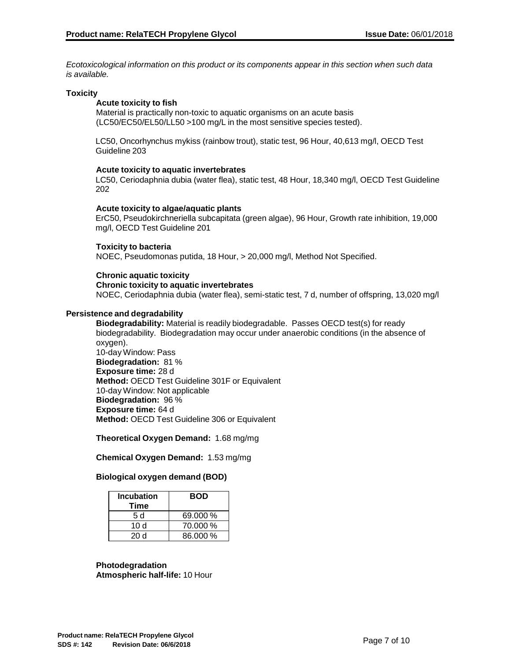*Ecotoxicological information on this product or its components appear in this section when such data is available.*

#### **Toxicity**

#### **Acute toxicity to fish**

Material is practically non-toxic to aquatic organisms on an acute basis (LC50/EC50/EL50/LL50 >100 mg/L in the most sensitive species tested).

LC50, Oncorhynchus mykiss (rainbow trout), static test, 96 Hour, 40,613 mg/l, OECD Test Guideline 203

#### **Acute toxicity to aquatic invertebrates**

LC50, Ceriodaphnia dubia (water flea), static test, 48 Hour, 18,340 mg/l, OECD Test Guideline 202

#### **Acute toxicity to algae/aquatic plants**

ErC50, Pseudokirchneriella subcapitata (green algae), 96 Hour, Growth rate inhibition, 19,000 mg/l, OECD Test Guideline 201

## **Toxicity to bacteria**

NOEC, Pseudomonas putida, 18 Hour, > 20,000 mg/l, Method Not Specified.

## **Chronic aquatic toxicity**

#### **Chronic toxicity to aquatic invertebrates**

NOEC, Ceriodaphnia dubia (water flea), semi-static test, 7 d, number of offspring, 13,020 mg/l

#### **Persistence and degradability**

**Biodegradability:** Material is readily biodegradable. Passes OECD test(s) for ready biodegradability. Biodegradation may occur under anaerobic conditions (in the absence of oxygen). 10-day Window: Pass **Biodegradation:** 81 % **Exposure time:** 28 d **Method:** OECD Test Guideline 301F or Equivalent 10-day Window: Not applicable **Biodegradation:** 96 % **Exposure time:** 64 d **Method:** OECD Test Guideline 306 or Equivalent

**Theoretical Oxygen Demand:** 1.68 mg/mg

**Chemical Oxygen Demand:** 1.53 mg/mg

## **Biological oxygen demand (BOD)**

| <b>Incubation</b><br>Time | <b>BOD</b> |
|---------------------------|------------|
| 5 d                       | 69.000 %   |
| 10 d                      | 70.000 %   |
| 20 d                      | 86.000 %   |

**Photodegradation Atmospheric half-life:** 10 Hour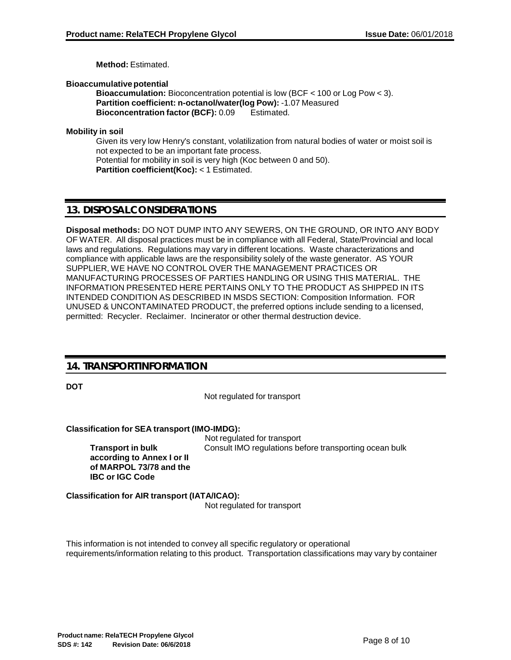**Method:** Estimated.

**Bioaccumulativepotential**

**Bioaccumulation:** Bioconcentration potential is low (BCF < 100 or Log Pow < 3). **Partition coefficient: n-octanol/water(log Pow):** -1.07 Measured **Bioconcentration factor (BCF):** 0.09 Estimated.

**Mobility in soil**

Given its very low Henry's constant, volatilization from natural bodies of water or moist soil is not expected to be an important fate process. Potential for mobility in soil is very high (Koc between 0 and 50). **Partition coefficient(Koc):** < 1 Estimated.

## **13. DISPOSALCONSIDERATIONS**

**Disposal methods:** DO NOT DUMP INTO ANY SEWERS, ON THE GROUND, OR INTO ANY BODY OF WATER. All disposal practices must be in compliance with all Federal, State/Provincial and local laws and regulations. Regulations may vary in different locations. Waste characterizations and compliance with applicable laws are the responsibility solely of the waste generator. AS YOUR SUPPLIER, WE HAVE NO CONTROL OVER THE MANAGEMENT PRACTICES OR MANUFACTURING PROCESSES OF PARTIES HANDLING OR USING THIS MATERIAL. THE INFORMATION PRESENTED HERE PERTAINS ONLY TO THE PRODUCT AS SHIPPED IN ITS INTENDED CONDITION AS DESCRIBED IN MSDS SECTION: Composition Information. FOR UNUSED & UNCONTAMINATED PRODUCT, the preferred options include sending to a licensed, permitted: Recycler. Reclaimer. Incinerator or other thermal destruction device.

## **14. TRANSPORT INFORMATION**

**DOT**

Not regulated for transport

**Classification for SEA transport (IMO-IMDG):**

**Transport in bulk according to Annex I or II of MARPOL 73/78 and the IBC or IGC Code**

Not regulated for transport Consult IMO regulations before transporting ocean bulk

**Classification for AIR transport (IATA/ICAO):** Not regulated for transport

This information is not intended to convey all specific regulatory or operational requirements/information relating to this product. Transportation classifications may vary by container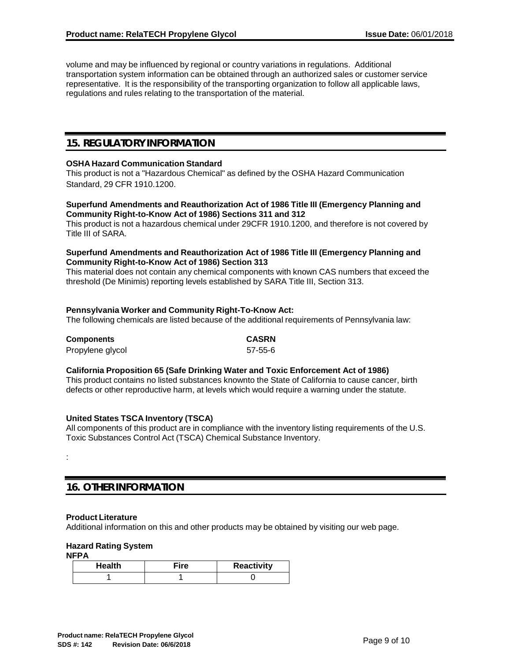volume and may be influenced by regional or country variations in regulations. Additional transportation system information can be obtained through an authorized sales or customer service representative. It is the responsibility of the transporting organization to follow all applicable laws, regulations and rules relating to the transportation of the material.

## **15. REGULATORYINFORMATION**

## **OSHA Hazard Communication Standard**

This product is not a "Hazardous Chemical" as defined by the OSHA Hazard Communication Standard, 29 CFR 1910.1200.

## **Superfund Amendments and Reauthorization Act of 1986 Title III (Emergency Planning and Community Right-to-Know Act of 1986) Sections 311 and 312**

This product is not a hazardous chemical under 29CFR 1910.1200, and therefore is not covered by Title III of SARA.

## **Superfund Amendments and Reauthorization Act of 1986 Title III (Emergency Planning and Community Right-to-Know Act of 1986) Section 313**

This material does not contain any chemical components with known CAS numbers that exceed the threshold (De Minimis) reporting levels established by SARA Title III, Section 313.

## **Pennsylvania Worker and Community Right-To-Know Act:**

The following chemicals are listed because of the additional requirements of Pennsylvania law:

| <b>Components</b> | <b>CASRN</b> |
|-------------------|--------------|
| Propylene glycol  | 57-55-6      |

## **California Proposition 65 (Safe Drinking Water and Toxic Enforcement Act of 1986)**

This product contains no listed substances knownto the State of California to cause cancer, birth defects or other reproductive harm, at levels which would require a warning under the statute.

## **United States TSCA Inventory (TSCA)**

All components of this product are in compliance with the inventory listing requirements of the U.S. Toxic Substances Control Act (TSCA) Chemical Substance Inventory.

## **16. OTHER INFORMATION**

## **Product Literature**

Additional information on this and other products may be obtained by visiting our web page.

## **Hazard Rating System**

**NFPA**

:

| <b>Health</b> | Fire | Reactivity |
|---------------|------|------------|
|               |      |            |